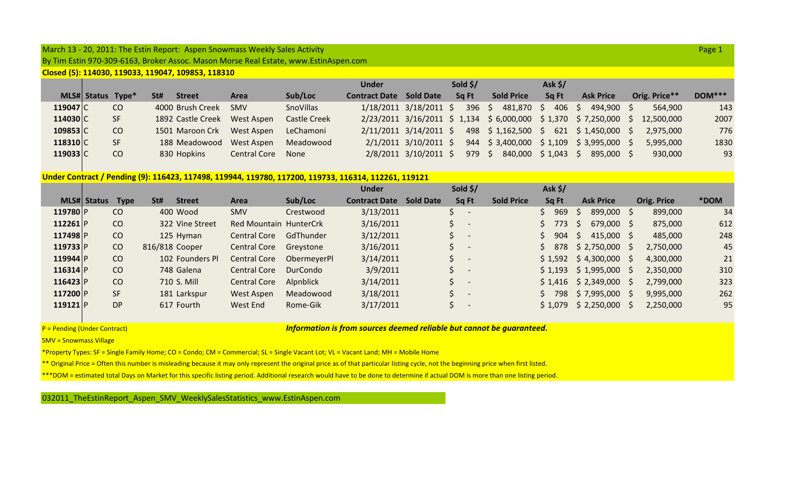## March 13 ‐ 20, 2011: The Estin Report: Aspen Snowmass Weekly Sales Activity Page 1

By Tim Estin 970‐309‐6163, Broker Assoc. Mason Morse Real Estate, www.EstinAspen.com

**Closed (5): 114030, 119033, 119047, 109853, 118310**

|                      |                          |     |     |                   |                     |                  | Under                |                            | Sold \$/       |                                                                    | Ask \$/        |                                |               |               |
|----------------------|--------------------------|-----|-----|-------------------|---------------------|------------------|----------------------|----------------------------|----------------|--------------------------------------------------------------------|----------------|--------------------------------|---------------|---------------|
|                      | <b>MLS# Status Type*</b> |     | St# | <b>Street</b>     | Area                | Sub/Loc          | <b>Contract Date</b> | <b>Sold Date</b>           | Sq Ft          | <b>Sold Price</b>                                                  | Sa Ft          | <b>Ask Price</b>               | Orig. Price** | <b>DOM***</b> |
| 119047 <sub>IC</sub> |                          | CO. |     | 4000 Brush Creek  | <b>SMV</b>          | <b>SnoVillas</b> |                      | $1/18/2011$ $3/18/2011$ \$ | 396            | 481,870 \$<br>$\mathcal{P}$                                        | $406 \quad$ \$ | 494.900                        | 564.900       | 143           |
| 114030 C             |                          | SF. |     | 1892 Castle Creek | West Aspen          | Castle Creek     |                      |                            |                | 2/23/2011 3/16/2011 \$ 1,134 \$ 6,000,000 \$ 1,370 \$ 7,250,000 \$ |                |                                | 12,500,000    | 2007          |
| 109853 <sub>IC</sub> |                          | CO. |     | 1501 Maroon Crk   | West Aspen          | LeChamoni        |                      | $2/11/2011$ $3/14/2011$ \$ |                | 498 \$1,162,500 \$                                                 |                | $621 \quad $1,450,000 \quad $$ | 2,975,000     | 776           |
| 118310 <sub>IC</sub> |                          | SF  |     | 188 Meadowood     | West Aspen          | Meadowood        |                      | $2/1/2011$ $3/10/2011$ \$  |                | 944 \$3,400,000 \$1,109 \$3,995,000 \$                             |                |                                | 5,995,000     | 1830          |
| 119033 C             |                          | CO. |     | 830 Hopkins       | <b>Central Core</b> | None             |                      | 2/8/2011 3/10/2011 \$      | $979 \quad $5$ | 840,000 \$1,043 \$                                                 |                | 895,000 \$                     | 930,000       | 93            |

## **Under Contract / Pending (9): 116423, 117498, 119944, 119780, 117200, 119733, 116314, 112261, 119121**

|              |                    |             |                |                 |                               |             | <b>Under</b>         |                  |                | Sold \$/                 |                   | Ask \$/   |               |                           |     |                    |      |
|--------------|--------------------|-------------|----------------|-----------------|-------------------------------|-------------|----------------------|------------------|----------------|--------------------------|-------------------|-----------|---------------|---------------------------|-----|--------------------|------|
|              | <b>MLS# Status</b> | <b>Type</b> | St#            | <b>Street</b>   | Area                          | Sub/Loc     | <b>Contract Date</b> | <b>Sold Date</b> |                | Sq Ft                    | <b>Sold Price</b> | Sq Ft     |               | <b>Ask Price</b>          |     | <b>Orig. Price</b> | *DOM |
| 119780 P     |                    | CO          |                | 400 Wood        | SMV                           | Crestwood   | 3/13/2011            |                  |                |                          |                   | 969       | $\mathcal{P}$ | 899,000 \$                |     | 899,000            | 34   |
| 112261 $ P $ |                    | CO          |                | 322 Vine Street | <b>Red Mountain HunterCrk</b> |             | 3/16/2011            |                  |                |                          |                   | \$773     | $\mathcal{P}$ | $679,000$ \$              |     | 875,000            | 612  |
| 117498 P     |                    | CO          |                | 125 Hyman       | <b>Central Core</b>           | GdThunder   | 3/12/2011            |                  |                |                          |                   | $$904$ \$ |               | $415,000$ \$              |     | 485,000            | 248  |
| 119733 P     |                    | CO          | 816/818 Cooper |                 | <b>Central Core</b>           | Grevstone   | 3/16/2011            |                  |                |                          |                   | \$ 878    |               | $$2,750,000$ \$           |     | 2,750,000          | 45   |
| 119944 P     |                    | CO          |                | 102 Founders Pl | <b>Central Core</b>           | ObermeyerPl | 3/14/2011            |                  |                | $\overline{\phantom{a}}$ |                   |           |               | $$1,592 \t$4,300,000 \t$$ |     | 4,300,000          | 21   |
| 116314 P     |                    | CO          |                | 748 Galena      | <b>Central Core</b>           | DurCondo    | 3/9/2011             |                  | $\mathsf{S}$ - |                          |                   |           |               | $$1,193$ $$1,995,000$     | - S | 2,350,000          | 310  |
| 116423 P     |                    | CO          |                | 710 S. Mill     | <b>Central Core</b>           | Alpnblick   | 3/14/2011            |                  |                |                          |                   |           |               | $$1,416$ $$2,349,000$     | - S | 2,799,000          | 323  |
| 117200 P     |                    | <b>SF</b>   |                | 181 Larkspur    | West Aspen                    | Meadowood   | 3/18/2011            |                  |                |                          |                   | 798       |               | \$7,995,000               | - S | 9,995,000          | 262  |
| 119121 $ P $ |                    | DP          |                | 617 Fourth      | West End                      | Rome-Gik    | 3/17/2011            |                  |                |                          |                   |           |               | $$1,079$ $$2,250,000$     |     | 2,250,000          | 95   |

P = Pending (Under Contract)

## <sup>=</sup> Pending (Under Contract) *Information is from sources deemed reliable but cannot be guaranteed.*

SMV <sup>=</sup> Snowmass Village

\*Property Types: SF <sup>=</sup> Single Family Home; CO <sup>=</sup> Condo; CM <sup>=</sup> Commercial; SL <sup>=</sup> Single Vacant Lot; VL <sup>=</sup> Vacant Land; MH <sup>=</sup> Mobile Home

\*\* Original Price <sup>=</sup> Often this number is misleading because it may only represent the original price as of that particular listing cycle, not the beginning price when first listed.

\*\*\*DOM <sup>=</sup> estimated total Days on Market for this specific listing period. Additional research would have to be done to determine if actual DOM is more than one listing period.

032011\_TheEstinReport\_Aspen\_SMV\_WeeklySalesStatistics\_www.EstinAspen.com